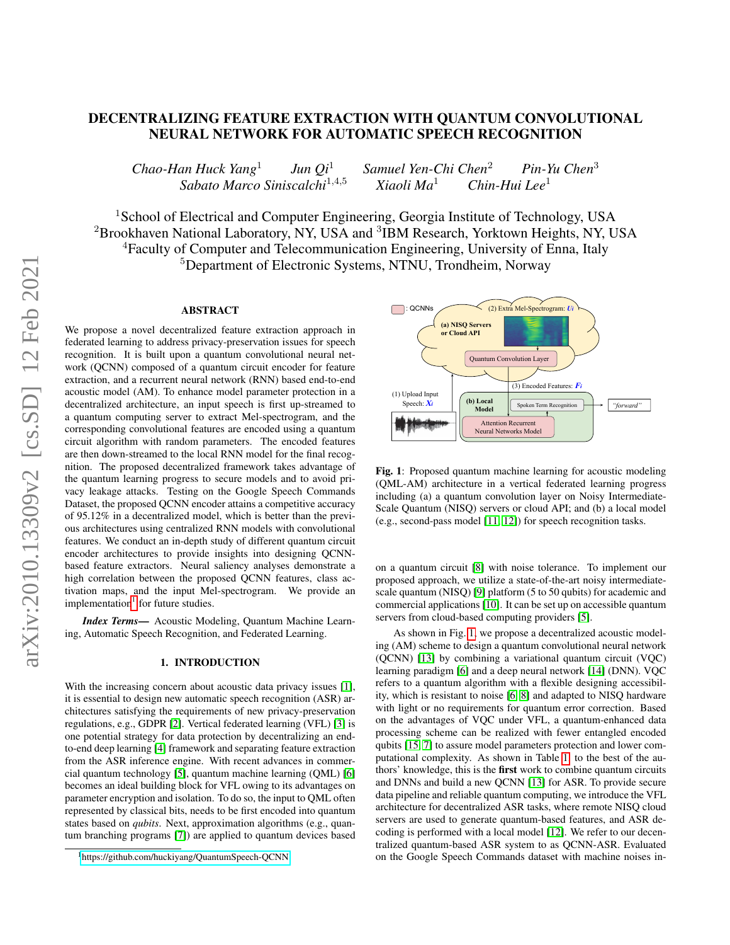# DECENTRALIZING FEATURE EXTRACTION WITH QUANTUM CONVOLUTIONAL NEURAL NETWORK FOR AUTOMATIC SPEECH RECOGNITION

*Chao-Han Huck Yang*<sup>1</sup> *Jun Qi*<sup>1</sup> *Samuel Yen-Chi Chen*<sup>2</sup> *Pin-Yu Chen*<sup>3</sup> *Sabato Marco Siniscalchi*<sup>1</sup>,4,<sup>5</sup> *Xiaoli Ma*<sup>1</sup> *Chin-Hui Lee*<sup>1</sup>

<sup>1</sup>School of Electrical and Computer Engineering, Georgia Institute of Technology, USA <sup>2</sup> Brookhaven National Laboratory, NY, USA and <sup>3</sup>IBM Research, Yorktown Heights, NY, USA <sup>4</sup>Faculty of Computer and Telecommunication Engineering, University of Enna, Italy <sup>5</sup>Department of Electronic Systems, NTNU, Trondheim, Norway

# ABSTRACT

We propose a novel decentralized feature extraction approach in federated learning to address privacy-preservation issues for speech recognition. It is built upon a quantum convolutional neural network (QCNN) composed of a quantum circuit encoder for feature extraction, and a recurrent neural network (RNN) based end-to-end acoustic model (AM). To enhance model parameter protection in a decentralized architecture, an input speech is first up-streamed to a quantum computing server to extract Mel-spectrogram, and the corresponding convolutional features are encoded using a quantum circuit algorithm with random parameters. The encoded features are then down-streamed to the local RNN model for the final recognition. The proposed decentralized framework takes advantage of the quantum learning progress to secure models and to avoid privacy leakage attacks. Testing on the Google Speech Commands Dataset, the proposed QCNN encoder attains a competitive accuracy of 95.12% in a decentralized model, which is better than the previous architectures using centralized RNN models with convolutional features. We conduct an in-depth study of different quantum circuit encoder architectures to provide insights into designing QCNNbased feature extractors. Neural saliency analyses demonstrate a high correlation between the proposed QCNN features, class activation maps, and the input Mel-spectrogram. We provide an implementation<sup>[1](#page-0-0)</sup> for future studies.

*Index Terms*— Acoustic Modeling, Quantum Machine Learning, Automatic Speech Recognition, and Federated Learning.

### 1. INTRODUCTION

With the increasing concern about acoustic data privacy issues [\[1\]](#page-4-0), it is essential to design new automatic speech recognition (ASR) architectures satisfying the requirements of new privacy-preservation regulations, e.g., GDPR [\[2\]](#page-4-1). Vertical federated learning (VFL) [\[3\]](#page-4-2) is one potential strategy for data protection by decentralizing an endto-end deep learning [\[4\]](#page-4-3) framework and separating feature extraction from the ASR inference engine. With recent advances in commercial quantum technology [\[5\]](#page-4-4), quantum machine learning (QML) [\[6\]](#page-4-5) becomes an ideal building block for VFL owing to its advantages on parameter encryption and isolation. To do so, the input to QML often represented by classical bits, needs to be first encoded into quantum states based on *qubits*. Next, approximation algorithms (e.g., quantum branching programs [\[7\]](#page-4-6)) are applied to quantum devices based

<span id="page-0-1"></span>

Fig. 1: Proposed quantum machine learning for acoustic modeling (QML-AM) architecture in a vertical federated learning progress including (a) a quantum convolution layer on Noisy Intermediate-Scale Quantum (NISQ) servers or cloud API; and (b) a local model (e.g., second-pass model [\[11,](#page-4-7) [12\]](#page-4-8)) for speech recognition tasks.

on a quantum circuit [\[8\]](#page-4-9) with noise tolerance. To implement our proposed approach, we utilize a state-of-the-art noisy intermediatescale quantum (NISQ) [\[9\]](#page-4-10) platform (5 to 50 qubits) for academic and commercial applications [\[10\]](#page-4-11). It can be set up on accessible quantum servers from cloud-based computing providers [\[5\]](#page-4-4).

As shown in Fig. [1,](#page-0-1) we propose a decentralized acoustic modeling (AM) scheme to design a quantum convolutional neural network (QCNN) [\[13\]](#page-4-12) by combining a variational quantum circuit (VQC) learning paradigm [\[6\]](#page-4-5) and a deep neural network [\[14\]](#page-4-13) (DNN). VQC refers to a quantum algorithm with a flexible designing accessibility, which is resistant to noise [\[6,](#page-4-5) [8\]](#page-4-9) and adapted to NISQ hardware with light or no requirements for quantum error correction. Based on the advantages of VQC under VFL, a quantum-enhanced data processing scheme can be realized with fewer entangled encoded qubits [\[15,](#page-4-14) [7\]](#page-4-6) to assure model parameters protection and lower computational complexity. As shown in Table [1,](#page-1-0) to the best of the authors' knowledge, this is the first work to combine quantum circuits and DNNs and build a new QCNN [\[13\]](#page-4-12) for ASR. To provide secure data pipeline and reliable quantum computing, we introduce the VFL architecture for decentralized ASR tasks, where remote NISQ cloud servers are used to generate quantum-based features, and ASR decoding is performed with a local model [\[12\]](#page-4-8). We refer to our decentralized quantum-based ASR system to as QCNN-ASR. Evaluated on the Google Speech Commands dataset with machine noises in-

<span id="page-0-0"></span><sup>1</sup><https://github.com/huckiyang/QuantumSpeech-QCNN>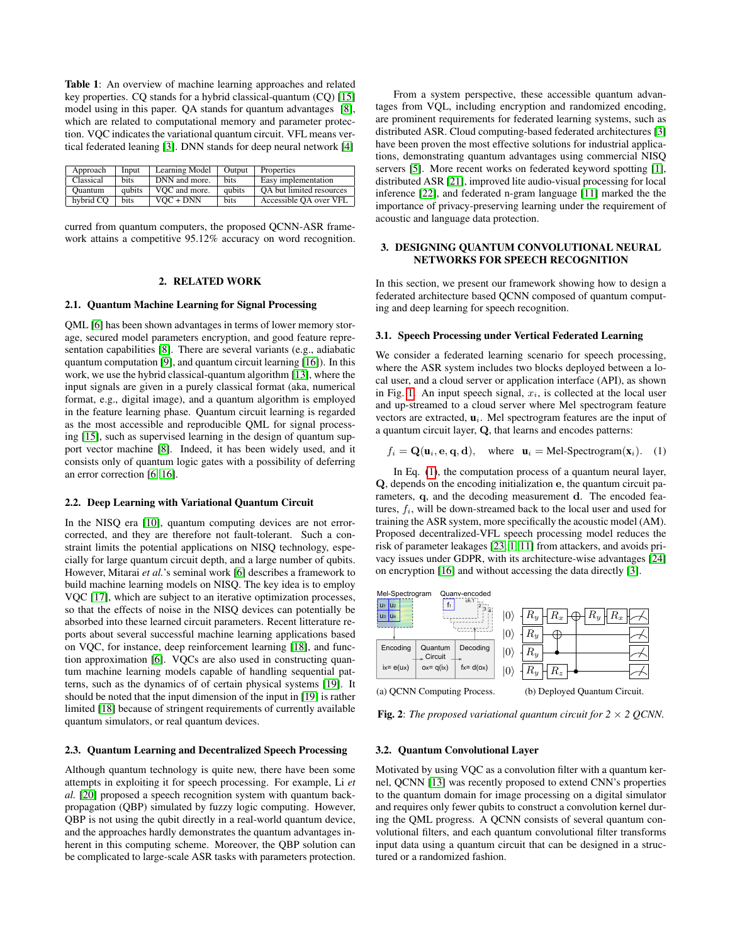<span id="page-1-0"></span>Table 1: An overview of machine learning approaches and related key properties. CQ stands for a hybrid classical-quantum (CQ) [\[15\]](#page-4-14) model using in this paper. QA stands for quantum advantages [\[8\]](#page-4-9), which are related to computational memory and parameter protection. VQC indicates the variational quantum circuit. VFL means vertical federated leaning [\[3\]](#page-4-2). DNN stands for deep neural network [\[4\]](#page-4-3)

| Approach  | Input       | Learning Model | Output      | Properties               |
|-----------|-------------|----------------|-------------|--------------------------|
| Classical | <b>bits</b> | DNN and more.  | <b>bits</b> | Easy implementation      |
| Ouantum   | qubits      | VOC and more.  | qubits      | OA but limited resources |
| hybrid CO | <b>bits</b> | $VOC + DNN$    | <b>bits</b> | Accessible OA over VFL   |

curred from quantum computers, the proposed QCNN-ASR framework attains a competitive 95.12% accuracy on word recognition.

## 2. RELATED WORK

### 2.1. Quantum Machine Learning for Signal Processing

QML [\[6\]](#page-4-5) has been shown advantages in terms of lower memory storage, secured model parameters encryption, and good feature representation capabilities [\[8\]](#page-4-9). There are several variants (e.g., adiabatic quantum computation [\[9\]](#page-4-10), and quantum circuit learning [\[16\]](#page-4-15)). In this work, we use the hybrid classical-quantum algorithm [\[13\]](#page-4-12), where the input signals are given in a purely classical format (aka, numerical format, e.g., digital image), and a quantum algorithm is employed in the feature learning phase. Quantum circuit learning is regarded as the most accessible and reproducible QML for signal processing [\[15\]](#page-4-14), such as supervised learning in the design of quantum support vector machine [\[8\]](#page-4-9). Indeed, it has been widely used, and it consists only of quantum logic gates with a possibility of deferring an error correction [\[6,](#page-4-5) [16\]](#page-4-15).

#### 2.2. Deep Learning with Variational Quantum Circuit

In the NISQ era [\[10\]](#page-4-11), quantum computing devices are not errorcorrected, and they are therefore not fault-tolerant. Such a constraint limits the potential applications on NISQ technology, especially for large quantum circuit depth, and a large number of qubits. However, Mitarai *et al.*'s seminal work [\[6\]](#page-4-5) describes a framework to build machine learning models on NISQ. The key idea is to employ VQC [\[17\]](#page-4-16), which are subject to an iterative optimization processes, so that the effects of noise in the NISQ devices can potentially be absorbed into these learned circuit parameters. Recent litterature reports about several successful machine learning applications based on VQC, for instance, deep reinforcement learning [\[18\]](#page-4-17), and function approximation [\[6\]](#page-4-5). VQCs are also used in constructing quantum machine learning models capable of handling sequential patterns, such as the dynamics of of certain physical systems [\[19\]](#page-4-18). It should be noted that the input dimension of the input in [\[19\]](#page-4-18) is rather limited [\[18\]](#page-4-17) because of stringent requirements of currently available quantum simulators, or real quantum devices.

### 2.3. Quantum Learning and Decentralized Speech Processing

Although quantum technology is quite new, there have been some attempts in exploiting it for speech processing. For example, Li *et al.* [\[20\]](#page-4-19) proposed a speech recognition system with quantum backpropagation (QBP) simulated by fuzzy logic computing. However, QBP is not using the qubit directly in a real-world quantum device, and the approaches hardly demonstrates the quantum advantages inherent in this computing scheme. Moreover, the QBP solution can be complicated to large-scale ASR tasks with parameters protection.

From a system perspective, these accessible quantum advantages from VQL, including encryption and randomized encoding, are prominent requirements for federated learning systems, such as distributed ASR. Cloud computing-based federated architectures [\[3\]](#page-4-2) have been proven the most effective solutions for industrial applications, demonstrating quantum advantages using commercial NISQ servers [\[5\]](#page-4-4). More recent works on federated keyword spotting [\[1\]](#page-4-0), distributed ASR [\[21\]](#page-4-20), improved lite audio-visual processing for local inference [\[22\]](#page-4-21), and federated n-gram language [\[11\]](#page-4-7) marked the the importance of privacy-preserving learning under the requirement of acoustic and language data protection.

## 3. DESIGNING QUANTUM CONVOLUTIONAL NEURAL NETWORKS FOR SPEECH RECOGNITION

In this section, we present our framework showing how to design a federated architecture based QCNN composed of quantum computing and deep learning for speech recognition.

#### 3.1. Speech Processing under Vertical Federated Learning

We consider a federated learning scenario for speech processing, where the ASR system includes two blocks deployed between a local user, and a cloud server or application interface (API), as shown in Fig. [1.](#page-0-1) An input speech signal,  $x_i$ , is collected at the local user and up-streamed to a cloud server where Mel spectrogram feature vectors are extracted,  $\mathbf{u}_i$ . Mel spectrogram features are the input of a quantum circuit layer, Q, that learns and encodes patterns:

<span id="page-1-1"></span>
$$
f_i = \mathbf{Q}(\mathbf{u}_i, \mathbf{e}, \mathbf{q}, \mathbf{d}),
$$
 where  $\mathbf{u}_i = \text{Mel-Spectrogram}(\mathbf{x}_i).$  (1)

In Eq. [\(1\)](#page-1-1), the computation process of a quantum neural layer, Q, depends on the encoding initialization e, the quantum circuit parameters, q, and the decoding measurement d. The encoded features,  $f_i$ , will be down-streamed back to the local user and used for training the ASR system, more specifically the acoustic model (AM). Proposed decentralized-VFL speech processing model reduces the risk of parameter leakages [\[23,](#page-4-22) [1,](#page-4-0) [11\]](#page-4-7) from attackers, and avoids privacy issues under GDPR, with its architecture-wise advantages [\[24\]](#page-4-23) on encryption [\[16\]](#page-4-15) and without accessing the data directly [\[3\]](#page-4-2).

<span id="page-1-2"></span>

(a) QCNN Computing Process.



**Fig. 2:** *The proposed variational quantum circuit for*  $2 \times 2$  *QCNN.* 

#### 3.2. Quantum Convolutional Layer

Motivated by using VQC as a convolution filter with a quantum kernel, QCNN [\[13\]](#page-4-12) was recently proposed to extend CNN's properties to the quantum domain for image processing on a digital simulator and requires only fewer qubits to construct a convolution kernel during the QML progress. A QCNN consists of several quantum convolutional filters, and each quantum convolutional filter transforms input data using a quantum circuit that can be designed in a structured or a randomized fashion.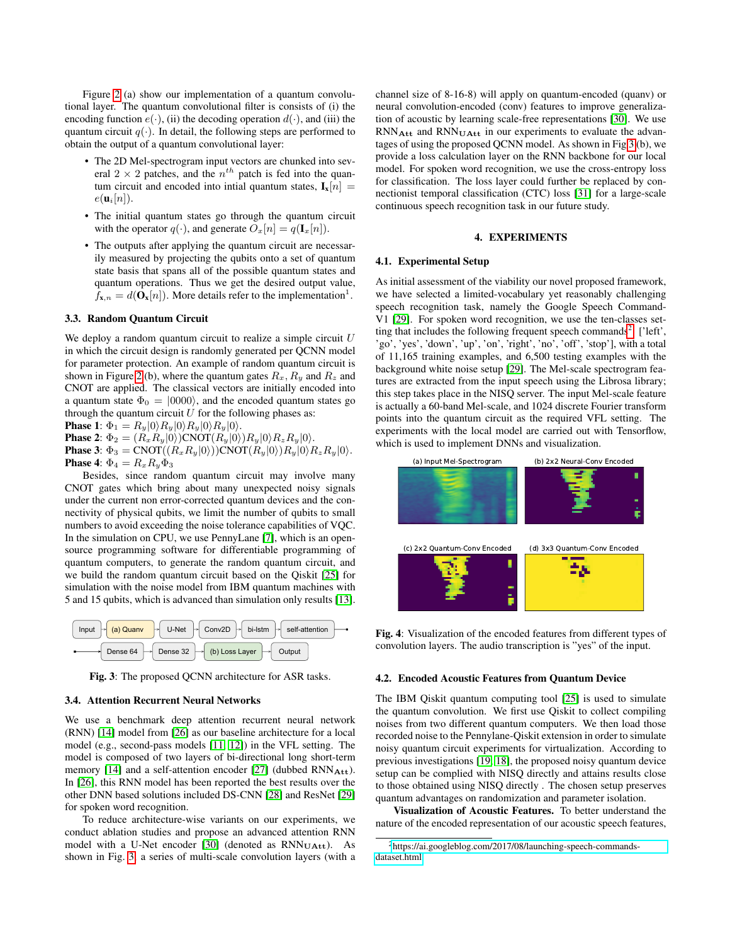Figure [2](#page-1-2) (a) show our implementation of a quantum convolutional layer. The quantum convolutional filter is consists of (i) the encoding function  $e(\cdot)$ , (ii) the decoding operation  $d(\cdot)$ , and (iii) the quantum circuit  $q(\cdot)$ . In detail, the following steps are performed to obtain the output of a quantum convolutional layer:

- The 2D Mel-spectrogram input vectors are chunked into several  $2 \times 2$  patches, and the  $n^{th}$  patch is fed into the quantum circuit and encoded into intial quantum states,  $I_x[n] =$  $e(\mathbf{u}_i[n])$ .
- The initial quantum states go through the quantum circuit with the operator  $q(\cdot)$ , and generate  $\hat{O}_x[n] = q(\mathbf{I}_x[n])$ .
- The outputs after applying the quantum circuit are necessarily measured by projecting the qubits onto a set of quantum state basis that spans all of the possible quantum states and quantum operations. Thus we get the desired output value,  $f_{\mathbf{x},n} = d(\mathbf{O}_{\mathbf{x}}[n])$ . More details refer to the implementation<sup>1</sup>.

## 3.3. Random Quantum Circuit

We deploy a random quantum circuit to realize a simple circuit  $U$ in which the circuit design is randomly generated per QCNN model for parameter protection. An example of random quantum circuit is shown in Figure [2](#page-1-2) (b), where the quantum gates  $R_x, R_y$  and  $R_z$  and CNOT are applied. The classical vectors are initially encoded into a quantum state  $\Phi_0 = |0000\rangle$ , and the encoded quantum states go through the quantum circuit  $U$  for the following phases as:

**Phase 1:**  $\Phi_1 = R_y|0\rangle R_y|0\rangle R_y|0\rangle R_y|0\rangle.$ **Phase 2:**  $\Phi_2 = (R_x R_y | 0 \rangle) \text{CNOT} (R_y | 0 \rangle) R_y | 0 \rangle R_z R_y | 0 \rangle.$ **Phase 3:**  $\Phi_3 = \text{CNOT}((R_x R_y | 0\rangle))\text{CNOT}(R_y | 0\rangle)R_y | 0\rangle R_z R_y | 0\rangle.$ **Phase 4:**  $\Phi_4 = R_x R_y \Phi_3$ 

Besides, since random quantum circuit may involve many CNOT gates which bring about many unexpected noisy signals under the current non error-corrected quantum devices and the connectivity of physical qubits, we limit the number of qubits to small numbers to avoid exceeding the noise tolerance capabilities of VQC. In the simulation on CPU, we use PennyLane [\[7\]](#page-4-6), which is an opensource programming software for differentiable programming of quantum computers, to generate the random quantum circuit, and we build the random quantum circuit based on the Qiskit [\[25\]](#page-4-24) for simulation with the noise model from IBM quantum machines with 5 and 15 qubits, which is advanced than simulation only results [\[13\]](#page-4-12).

<span id="page-2-0"></span>

Fig. 3: The proposed QCNN architecture for ASR tasks.

#### 3.4. Attention Recurrent Neural Networks

We use a benchmark deep attention recurrent neural network (RNN) [\[14\]](#page-4-13) model from [\[26\]](#page-4-25) as our baseline architecture for a local model (e.g., second-pass models [\[11,](#page-4-7) [12\]](#page-4-8)) in the VFL setting. The model is composed of two layers of bi-directional long short-term memory [\[14\]](#page-4-13) and a self-attention encoder [\[27\]](#page-4-26) (dubbed RNN<sub>Att</sub>). In [\[26\]](#page-4-25), this RNN model has been reported the best results over the other DNN based solutions included DS-CNN [\[28\]](#page-4-27) and ResNet [\[29\]](#page-4-28) for spoken word recognition.

To reduce architecture-wise variants on our experiments, we conduct ablation studies and propose an advanced attention RNN model with a U-Net encoder [\[30\]](#page-4-29) (denoted as  $RNN_{UAtt}$ ). As shown in Fig. [3,](#page-2-0) a series of multi-scale convolution layers (with a

channel size of 8-16-8) will apply on quantum-encoded (quanv) or neural convolution-encoded (conv) features to improve generalization of acoustic by learning scale-free representations [\[30\]](#page-4-29). We use  $RNN_{Att}$  and  $RNN_{UAtt}$  in our experiments to evaluate the advantages of using the proposed QCNN model. As shown in Fig [3](#page-2-0) (b), we provide a loss calculation layer on the RNN backbone for our local model. For spoken word recognition, we use the cross-entropy loss for classification. The loss layer could further be replaced by connectionist temporal classification (CTC) loss [\[31\]](#page-4-30) for a large-scale continuous speech recognition task in our future study.

# 4. EXPERIMENTS

## 4.1. Experimental Setup

As initial assessment of the viability our novel proposed framework, we have selected a limited-vocabulary yet reasonably challenging speech recognition task, namely the Google Speech Command-V1 [\[29\]](#page-4-28). For spoken word recognition, we use the ten-classes set-ting that includes the following frequent speech commands<sup>[2](#page-2-1)</sup>: ['left', 'go', 'yes', 'down', 'up', 'on', 'right', 'no', 'off', 'stop'], with a total of 11,165 training examples, and 6,500 testing examples with the background white noise setup [\[29\]](#page-4-28). The Mel-scale spectrogram features are extracted from the input speech using the Librosa library; this step takes place in the NISQ server. The input Mel-scale feature is actually a 60-band Mel-scale, and 1024 discrete Fourier transform points into the quantum circuit as the required VFL setting. The experiments with the local model are carried out with Tensorflow, which is used to implement DNNs and visualization.

<span id="page-2-2"></span>

Fig. 4: Visualization of the encoded features from different types of convolution layers. The audio transcription is "yes" of the input.

#### 4.2. Encoded Acoustic Features from Quantum Device

The IBM Qiskit quantum computing tool [\[25\]](#page-4-24) is used to simulate the quantum convolution. We first use Qiskit to collect compiling noises from two different quantum computers. We then load those recorded noise to the Pennylane-Qiskit extension in order to simulate noisy quantum circuit experiments for virtualization. According to previous investigations [\[19,](#page-4-18) [18\]](#page-4-17), the proposed noisy quantum device setup can be complied with NISQ directly and attains results close to those obtained using NISQ directly . The chosen setup preserves quantum advantages on randomization and parameter isolation.

Visualization of Acoustic Features. To better understand the nature of the encoded representation of our acoustic speech features,

<span id="page-2-1"></span><sup>2</sup>[https://ai.googleblog.com/2017/08/launching-speech-commands](https://ai.googleblog.com/2017/08/launching-speech-commands-dataset.html)[dataset.html](https://ai.googleblog.com/2017/08/launching-speech-commands-dataset.html)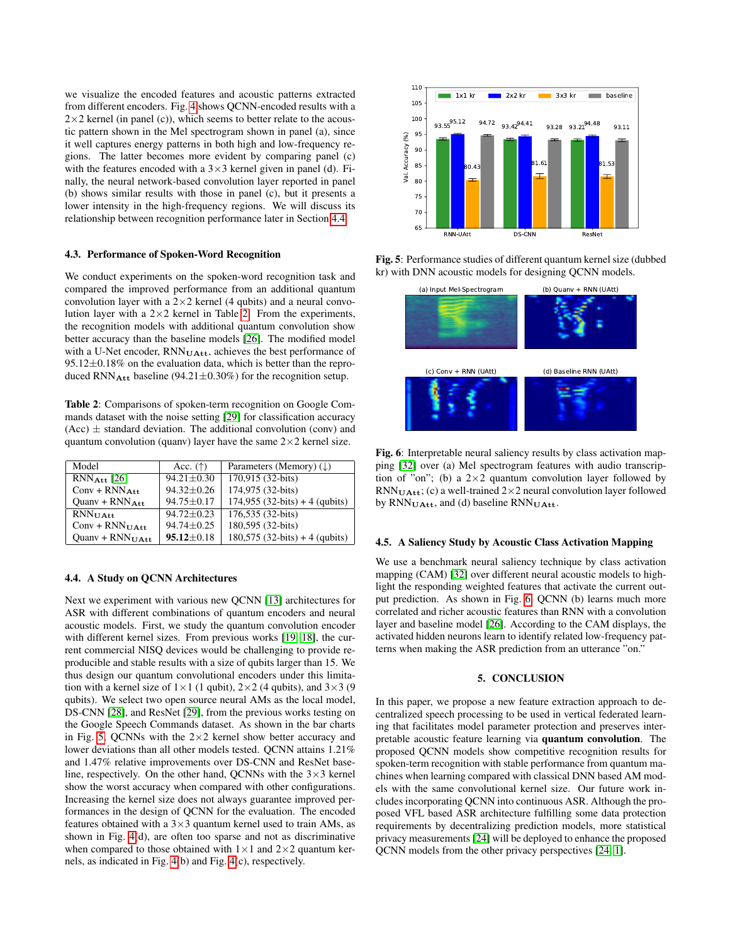we visualize the encoded features and acoustic patterns extracted from different encoders. Fig. [4](#page-2-2) shows QCNN-encoded results with a  $2\times2$  kernel (in panel (c)), which seems to better relate to the acoustic pattern shown in the Mel spectrogram shown in panel (a), since it well captures energy patterns in both high and low-frequency regions. The latter becomes more evident by comparing panel (c) with the features encoded with a  $3\times3$  kernel given in panel (d). Finally, the neural network-based convolution layer reported in panel (b) shows similar results with those in panel (c), but it presents a lower intensity in the high-frequency regions. We will discuss its relationship between recognition performance later in Section [4.4.](#page-3-0)

## 4.3. Performance of Spoken-Word Recognition

We conduct experiments on the spoken-word recognition task and compared the improved performance from an additional quantum convolution layer with a  $2\times 2$  kernel (4 qubits) and a neural convolution layer with a  $2 \times 2$  kernel in Table [2.](#page-3-1) From the experiments, the recognition models with additional quantum convolution show better accuracy than the baseline models [\[26\]](#page-4-25). The modified model with a U-Net encoder, RNN<sub>UAtt</sub>, achieves the best performance of  $95.12\pm0.18\%$  on the evaluation data, which is better than the reproduced RNN<sub>Att</sub> baseline (94.21 $\pm$ 0.30%) for the recognition setup.

<span id="page-3-1"></span>Table 2: Comparisons of spoken-term recognition on Google Commands dataset with the noise setting [\[29\]](#page-4-28) for classification accuracy  $(Acc)$   $\pm$  standard deviation. The additional convolution (conv) and quantum convolution (quanv) layer have the same  $2\times 2$  kernel size.

| Model                       | Acc. $(\uparrow)$ | Parameters (Memory) $(\downarrow)$ |
|-----------------------------|-------------------|------------------------------------|
| $RNN_{\text{Att}}$ [26]     | $94.21 \pm 0.30$  | 170,915 (32-bits)                  |
| $Conv + RNN_{Att}$          | $94.32 + 0.26$    | 174,975 (32-bits)                  |
| $Quanv + RNN_{Att}$         | $94.75 \pm 0.17$  | $174,955$ (32-bits) + 4 (qubits)   |
| $RNN_{\text{UAtt}}$         | $94.72 + 0.23$    | 176,535 (32-bits)                  |
| $Conv + RNN_{UAtt}$         | $94.74 \pm 0.25$  | 180,595 (32-bits)                  |
| Quany + $RNN_{\text{UAtt}}$ | $95.12 \pm 0.18$  | $180,575$ (32-bits) + 4 (qubits)   |

## <span id="page-3-0"></span>4.4. A Study on QCNN Architectures

Next we experiment with various new QCNN [\[13\]](#page-4-12) architectures for ASR with different combinations of quantum encoders and neural acoustic models. First, we study the quantum convolution encoder with different kernel sizes. From previous works [\[19,](#page-4-18) [18\]](#page-4-17), the current commercial NISQ devices would be challenging to provide reproducible and stable results with a size of qubits larger than 15. We thus design our quantum convolutional encoders under this limitation with a kernel size of  $1 \times 1$  (1 qubit),  $2 \times 2$  (4 qubits), and  $3 \times 3$  (9 qubits). We select two open source neural AMs as the local model, DS-CNN [\[28\]](#page-4-27), and ResNet [\[29\]](#page-4-28), from the previous works testing on the Google Speech Commands dataset. As shown in the bar charts in Fig. [5,](#page-3-2) OCNNs with the  $2\times 2$  kernel show better accuracy and lower deviations than all other models tested. QCNN attains 1.21% and 1.47% relative improvements over DS-CNN and ResNet baseline, respectively. On the other hand, QCNNs with the  $3\times3$  kernel show the worst accuracy when compared with other configurations. Increasing the kernel size does not always guarantee improved performances in the design of QCNN for the evaluation. The encoded features obtained with a  $3\times3$  quantum kernel used to train AMs, as shown in Fig. [4\(](#page-2-2)d), are often too sparse and not as discriminative when compared to those obtained with  $1 \times 1$  and  $2 \times 2$  quantum kernels, as indicated in Fig. [4\(](#page-2-2)b) and Fig. [4\(](#page-2-2)c), respectively.

<span id="page-3-2"></span>

Fig. 5: Performance studies of different quantum kernel size (dubbed kr) with DNN acoustic models for designing QCNN models.

<span id="page-3-3"></span>

Fig. 6: Interpretable neural saliency results by class activation mapping [\[32\]](#page-4-31) over (a) Mel spectrogram features with audio transcription of "on"; (b) a  $2\times 2$  quantum convolution layer followed by  $RNN_{\text{UAtt}}$ ; (c) a well-trained 2×2 neural convolution layer followed by RNN<sub>UAtt</sub>, and (d) baseline RNN<sub>UAtt</sub>.

#### 4.5. A Saliency Study by Acoustic Class Activation Mapping

We use a benchmark neural saliency technique by class activation mapping (CAM) [\[32\]](#page-4-31) over different neural acoustic models to highlight the responding weighted features that activate the current output prediction. As shown in Fig. [6,](#page-3-3) QCNN (b) learns much more correlated and richer acoustic features than RNN with a convolution layer and baseline model [\[26\]](#page-4-25). According to the CAM displays, the activated hidden neurons learn to identify related low-frequency patterns when making the ASR prediction from an utterance "on."

## 5. CONCLUSION

In this paper, we propose a new feature extraction approach to decentralized speech processing to be used in vertical federated learning that facilitates model parameter protection and preserves interpretable acoustic feature learning via quantum convolution. The proposed QCNN models show competitive recognition results for spoken-term recognition with stable performance from quantum machines when learning compared with classical DNN based AM models with the same convolutional kernel size. Our future work includes incorporating QCNN into continuous ASR. Although the proposed VFL based ASR architecture fulfilling some data protection requirements by decentralizing prediction models, more statistical privacy measurements [\[24\]](#page-4-23) will be deployed to enhance the proposed QCNN models from the other privacy perspectives [\[24,](#page-4-23) [1\]](#page-4-0).